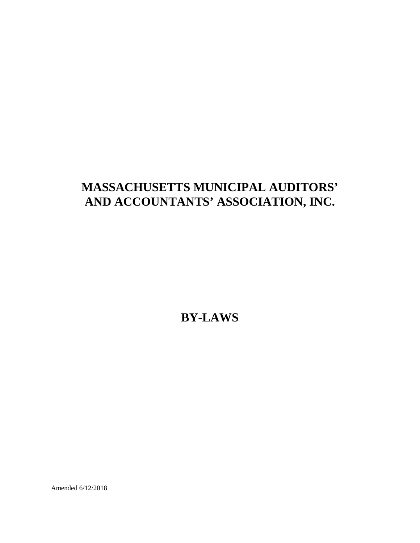# **MASSACHUSETTS MUNICIPAL AUDITORS' AND ACCOUNTANTS' ASSOCIATION, INC.**

**BY-LAWS**

Amended 6/12/2018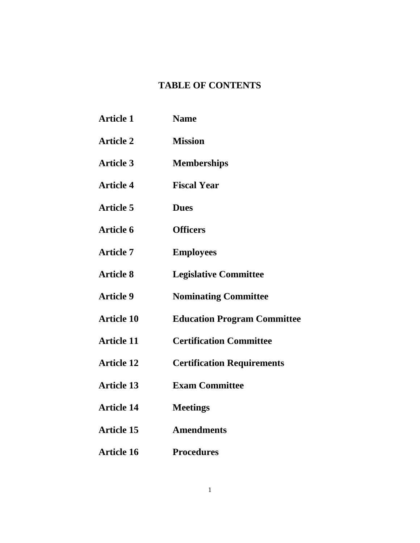# **TABLE OF CONTENTS**

| <b>Article 1</b>  | <b>Name</b>                        |
|-------------------|------------------------------------|
| <b>Article 2</b>  | <b>Mission</b>                     |
| <b>Article 3</b>  | <b>Memberships</b>                 |
| <b>Article 4</b>  | <b>Fiscal Year</b>                 |
| <b>Article 5</b>  | <b>Dues</b>                        |
| <b>Article 6</b>  | <b>Officers</b>                    |
| <b>Article 7</b>  | <b>Employees</b>                   |
| <b>Article 8</b>  | <b>Legislative Committee</b>       |
| <b>Article 9</b>  | <b>Nominating Committee</b>        |
| <b>Article 10</b> | <b>Education Program Committee</b> |
| <b>Article 11</b> | <b>Certification Committee</b>     |
| <b>Article 12</b> | <b>Certification Requirements</b>  |
| <b>Article 13</b> | <b>Exam Committee</b>              |
| <b>Article 14</b> | <b>Meetings</b>                    |
| <b>Article 15</b> | <b>Amendments</b>                  |
| <b>Article 16</b> | <b>Procedures</b>                  |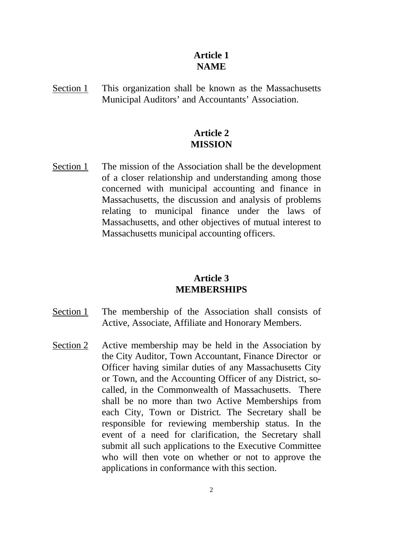#### **Article 1 NAME**

Section 1 This organization shall be known as the Massachusetts Municipal Auditors' and Accountants' Association.

#### **Article 2 MISSION**

Section 1 The mission of the Association shall be the development of a closer relationship and understanding among those concerned with municipal accounting and finance in Massachusetts, the discussion and analysis of problems relating to municipal finance under the laws of Massachusetts, and other objectives of mutual interest to Massachusetts municipal accounting officers.

#### **Article 3 MEMBERSHIPS**

- Section 1 The membership of the Association shall consists of Active, Associate, Affiliate and Honorary Members.
- Section 2 Active membership may be held in the Association by the City Auditor, Town Accountant, Finance Director or Officer having similar duties of any Massachusetts City or Town, and the Accounting Officer of any District, socalled, in the Commonwealth of Massachusetts. There shall be no more than two Active Memberships from each City, Town or District*.* The Secretary shall be responsible for reviewing membership status. In the event of a need for clarification, the Secretary shall submit all such applications to the Executive Committee who will then vote on whether or not to approve the applications in conformance with this section.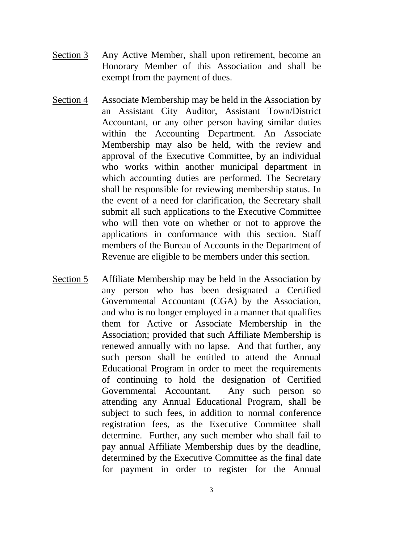- Section 3 Any Active Member, shall upon retirement, become an Honorary Member of this Association and shall be exempt from the payment of dues.
- Section 4 Associate Membership may be held in the Association by an Assistant City Auditor, Assistant Town/District Accountant, or any other person having similar duties within the Accounting Department. An Associate Membership may also be held, with the review and approval of the Executive Committee, by an individual who works within another municipal department in which accounting duties are performed. The Secretary shall be responsible for reviewing membership status. In the event of a need for clarification, the Secretary shall submit all such applications to the Executive Committee who will then vote on whether or not to approve the applications in conformance with this section. Staff members of the Bureau of Accounts in the Department of Revenue are eligible to be members under this section.
- Section 5 Affiliate Membership may be held in the Association by any person who has been designated a Certified Governmental Accountant (CGA) by the Association, and who is no longer employed in a manner that qualifies them for Active or Associate Membership in the Association; provided that such Affiliate Membership is renewed annually with no lapse. And that further, any such person shall be entitled to attend the Annual Educational Program in order to meet the requirements of continuing to hold the designation of Certified Governmental Accountant. Any such person so attending any Annual Educational Program, shall be subject to such fees, in addition to normal conference registration fees, as the Executive Committee shall determine. Further, any such member who shall fail to pay annual Affiliate Membership dues by the deadline, determined by the Executive Committee as the final date for payment in order to register for the Annual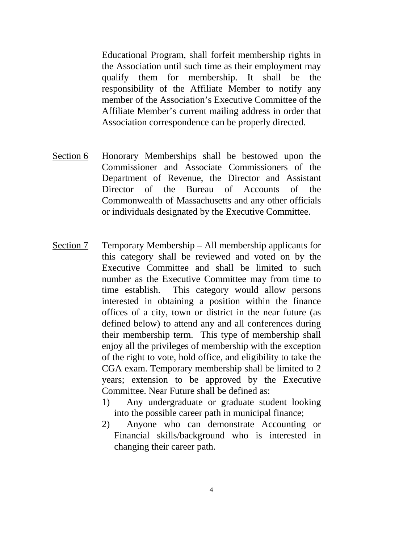Educational Program, shall forfeit membership rights in the Association until such time as their employment may qualify them for membership. It shall be the responsibility of the Affiliate Member to notify any member of the Association's Executive Committee of the Affiliate Member's current mailing address in order that Association correspondence can be properly directed.

- Section 6 Honorary Memberships shall be bestowed upon the Commissioner and Associate Commissioners of the Department of Revenue, the Director and Assistant Director of the Bureau of Accounts of the Commonwealth of Massachusetts and any other officials or individuals designated by the Executive Committee.
- Section 7 Temporary Membership All membership applicants for this category shall be reviewed and voted on by the Executive Committee and shall be limited to such number as the Executive Committee may from time to time establish. This category would allow persons interested in obtaining a position within the finance offices of a city, town or district in the near future (as defined below) to attend any and all conferences during their membership term. This type of membership shall enjoy all the privileges of membership with the exception of the right to vote, hold office, and eligibility to take the CGA exam. Temporary membership shall be limited to 2 years; extension to be approved by the Executive Committee. Near Future shall be defined as:
	- 1) Any undergraduate or graduate student looking into the possible career path in municipal finance;
	- 2) Anyone who can demonstrate Accounting or Financial skills/background who is interested in changing their career path.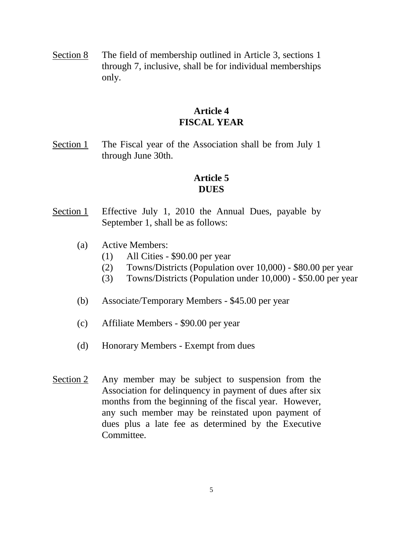Section 8 The field of membership outlined in Article 3, sections 1 through 7, inclusive, shall be for individual memberships only.

#### **Article 4 FISCAL YEAR**

Section 1 The Fiscal year of the Association shall be from July 1 through June 30th.

# **Article 5 DUES**

- Section 1 Effective July 1, 2010 the Annual Dues, payable by September 1, shall be as follows:
	- (a) Active Members:
		- (1) All Cities \$90.00 per year
		- (2) Towns/Districts (Population over 10,000) \$80.00 per year
		- (3) Towns/Districts (Population under 10,000) \$50.00 per year
	- (b) Associate/Temporary Members \$45.00 per year
	- (c) Affiliate Members \$90.00 per year
	- (d) Honorary Members Exempt from dues
- Section 2 Any member may be subject to suspension from the Association for delinquency in payment of dues after six months from the beginning of the fiscal year. However, any such member may be reinstated upon payment of dues plus a late fee as determined by the Executive Committee.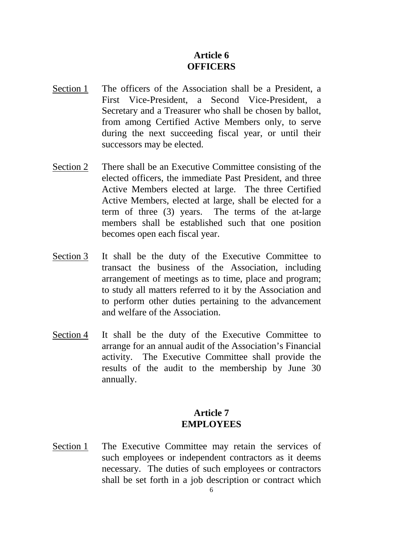# **Article 6 OFFICERS**

- Section 1 The officers of the Association shall be a President, a First Vice-President, a Second Vice-President, a Secretary and a Treasurer who shall be chosen by ballot, from among Certified Active Members only, to serve during the next succeeding fiscal year, or until their successors may be elected.
- Section 2 There shall be an Executive Committee consisting of the elected officers, the immediate Past President, and three Active Members elected at large. The three Certified Active Members, elected at large, shall be elected for a term of three (3) years. The terms of the at-large members shall be established such that one position becomes open each fiscal year.
- Section 3 It shall be the duty of the Executive Committee to transact the business of the Association, including arrangement of meetings as to time, place and program; to study all matters referred to it by the Association and to perform other duties pertaining to the advancement and welfare of the Association.
- Section 4 It shall be the duty of the Executive Committee to arrange for an annual audit of the Association's Financial activity. The Executive Committee shall provide the results of the audit to the membership by June 30 annually.

#### **Article 7 EMPLOYEES**

Section 1 The Executive Committee may retain the services of such employees or independent contractors as it deems necessary. The duties of such employees or contractors shall be set forth in a job description or contract which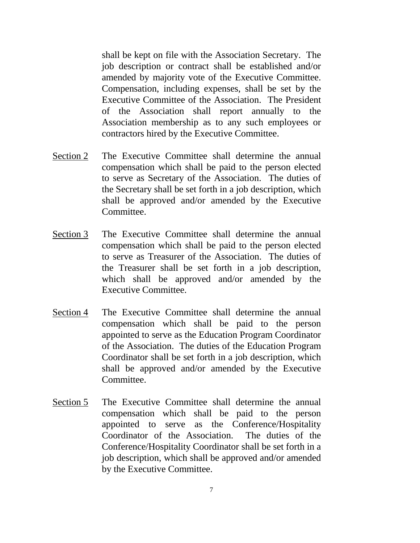shall be kept on file with the Association Secretary. The job description or contract shall be established and/or amended by majority vote of the Executive Committee. Compensation, including expenses, shall be set by the Executive Committee of the Association. The President of the Association shall report annually to the Association membership as to any such employees or contractors hired by the Executive Committee.

- Section 2 The Executive Committee shall determine the annual compensation which shall be paid to the person elected to serve as Secretary of the Association. The duties of the Secretary shall be set forth in a job description, which shall be approved and/or amended by the Executive Committee.
- Section 3 The Executive Committee shall determine the annual compensation which shall be paid to the person elected to serve as Treasurer of the Association. The duties of the Treasurer shall be set forth in a job description, which shall be approved and/or amended by the Executive Committee.
- Section 4 The Executive Committee shall determine the annual compensation which shall be paid to the person appointed to serve as the Education Program Coordinator of the Association. The duties of the Education Program Coordinator shall be set forth in a job description, which shall be approved and/or amended by the Executive Committee.
- Section 5 The Executive Committee shall determine the annual compensation which shall be paid to the person appointed to serve as the Conference/Hospitality Coordinator of the Association. The duties of the Conference/Hospitality Coordinator shall be set forth in a job description, which shall be approved and/or amended by the Executive Committee.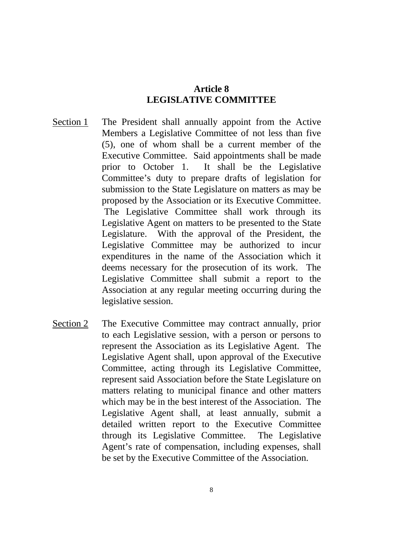#### **Article 8 LEGISLATIVE COMMITTEE**

- Section 1 The President shall annually appoint from the Active Members a Legislative Committee of not less than five (5), one of whom shall be a current member of the Executive Committee. Said appointments shall be made prior to October 1. It shall be the Legislative Committee's duty to prepare drafts of legislation for submission to the State Legislature on matters as may be proposed by the Association or its Executive Committee. The Legislative Committee shall work through its Legislative Agent on matters to be presented to the State Legislature. With the approval of the President, the Legislative Committee may be authorized to incur expenditures in the name of the Association which it deems necessary for the prosecution of its work. The Legislative Committee shall submit a report to the Association at any regular meeting occurring during the legislative session.
- Section 2 The Executive Committee may contract annually, prior to each Legislative session, with a person or persons to represent the Association as its Legislative Agent. The Legislative Agent shall, upon approval of the Executive Committee, acting through its Legislative Committee, represent said Association before the State Legislature on matters relating to municipal finance and other matters which may be in the best interest of the Association. The Legislative Agent shall, at least annually, submit a detailed written report to the Executive Committee through its Legislative Committee. The Legislative Agent's rate of compensation, including expenses, shall be set by the Executive Committee of the Association.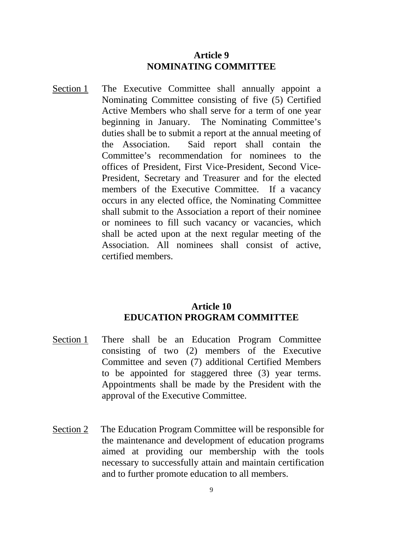#### **Article 9 NOMINATING COMMITTEE**

Section 1 The Executive Committee shall annually appoint a Nominating Committee consisting of five (5) Certified Active Members who shall serve for a term of one year beginning in January. The Nominating Committee's duties shall be to submit a report at the annual meeting of the Association. Said report shall contain the Committee's recommendation for nominees to the offices of President, First Vice-President, Second Vice-President, Secretary and Treasurer and for the elected members of the Executive Committee. If a vacancy occurs in any elected office, the Nominating Committee shall submit to the Association a report of their nominee or nominees to fill such vacancy or vacancies, which shall be acted upon at the next regular meeting of the Association. All nominees shall consist of active, certified members.

#### **Article 10 EDUCATION PROGRAM COMMITTEE**

- Section 1 There shall be an Education Program Committee consisting of two (2) members of the Executive Committee and seven (7) additional Certified Members to be appointed for staggered three (3) year terms. Appointments shall be made by the President with the approval of the Executive Committee.
- Section 2 The Education Program Committee will be responsible for the maintenance and development of education programs aimed at providing our membership with the tools necessary to successfully attain and maintain certification and to further promote education to all members.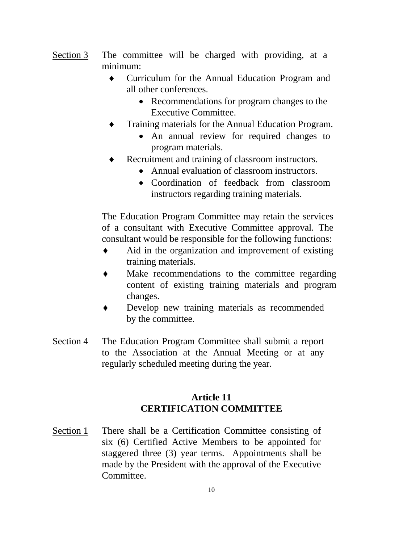- Section 3 The committee will be charged with providing, at a minimum:
	- ♦ Curriculum for the Annual Education Program and all other conferences.
		- Recommendations for program changes to the Executive Committee.
	- Training materials for the Annual Education Program.
		- An annual review for required changes to program materials.
	- Recruitment and training of classroom instructors.
		- Annual evaluation of classroom instructors.
		- Coordination of feedback from classroom instructors regarding training materials.

The Education Program Committee may retain the services of a consultant with Executive Committee approval. The consultant would be responsible for the following functions:

- Aid in the organization and improvement of existing training materials.
- Make recommendations to the committee regarding content of existing training materials and program changes.
- Develop new training materials as recommended by the committee.
- Section 4 The Education Program Committee shall submit a report to the Association at the Annual Meeting or at any regularly scheduled meeting during the year.

# **Article 11 CERTIFICATION COMMITTEE**

Section 1 There shall be a Certification Committee consisting of six (6) Certified Active Members to be appointed for staggered three (3) year terms. Appointments shall be made by the President with the approval of the Executive Committee.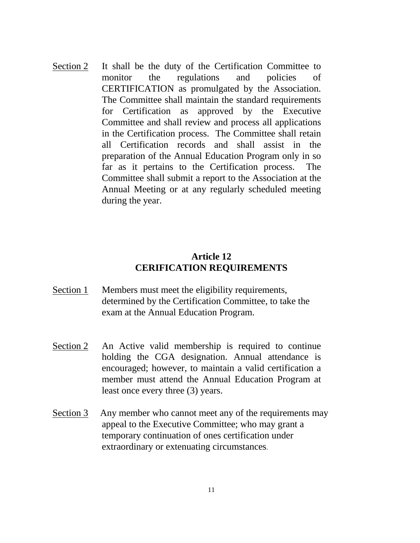Section 2 It shall be the duty of the Certification Committee to monitor the regulations and policies of CERTIFICATION as promulgated by the Association. The Committee shall maintain the standard requirements for Certification as approved by the Executive Committee and shall review and process all applications in the Certification process. The Committee shall retain all Certification records and shall assist in the preparation of the Annual Education Program only in so far as it pertains to the Certification process. The Committee shall submit a report to the Association at the Annual Meeting or at any regularly scheduled meeting during the year.

#### **Article 12 CERIFICATION REQUIREMENTS**

- Section 1 Members must meet the eligibility requirements, determined by the Certification Committee, to take the exam at the Annual Education Program.
- Section 2 An Active valid membership is required to continue holding the CGA designation. Annual attendance is encouraged; however, to maintain a valid certification a member must attend the Annual Education Program at least once every three (3) years.
- Section 3 Any member who cannot meet any of the requirements may appeal to the Executive Committee; who may grant a temporary continuation of ones certification under extraordinary or extenuating circumstances.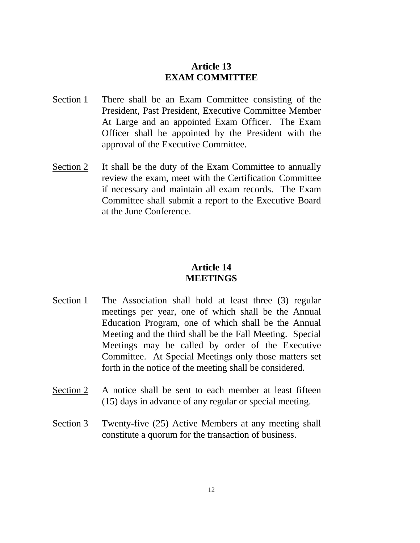# **Article 13 EXAM COMMITTEE**

- Section 1 There shall be an Exam Committee consisting of the President, Past President, Executive Committee Member At Large and an appointed Exam Officer. The Exam Officer shall be appointed by the President with the approval of the Executive Committee.
- Section 2 It shall be the duty of the Exam Committee to annually review the exam, meet with the Certification Committee if necessary and maintain all exam records. The Exam Committee shall submit a report to the Executive Board at the June Conference.

#### **Article 14 MEETINGS**

- Section 1 The Association shall hold at least three (3) regular meetings per year, one of which shall be the Annual Education Program, one of which shall be the Annual Meeting and the third shall be the Fall Meeting. Special Meetings may be called by order of the Executive Committee. At Special Meetings only those matters set forth in the notice of the meeting shall be considered.
- Section 2 A notice shall be sent to each member at least fifteen (15) days in advance of any regular or special meeting.
- Section 3 Twenty-five (25) Active Members at any meeting shall constitute a quorum for the transaction of business.